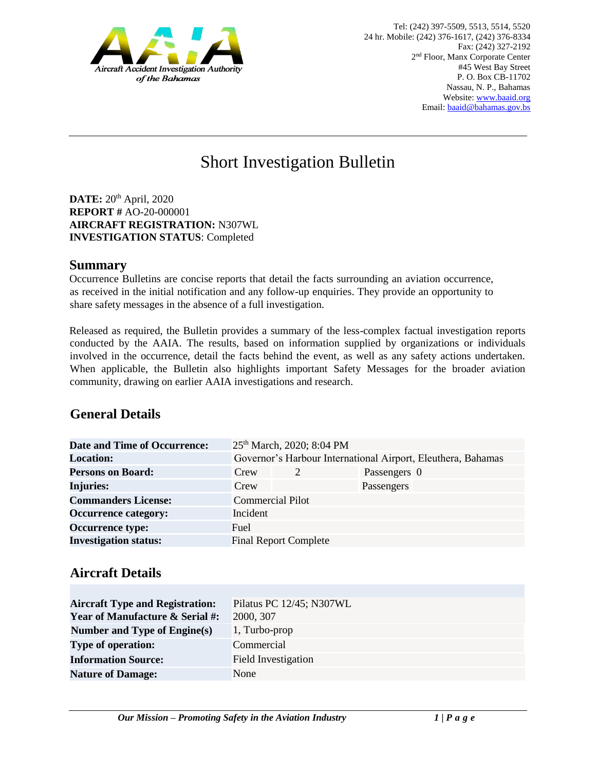

# Short Investigation Bulletin

**DATE:** 20<sup>th</sup> April, 2020 **REPORT #** AO-20-000001 **AIRCRAFT REGISTRATION:** N307WL **INVESTIGATION STATUS**: Completed

#### **Summary**

Occurrence Bulletins are concise reports that detail the facts surrounding an aviation occurrence, as received in the initial notification and any follow-up enquiries. They provide an opportunity to share safety messages in the absence of a full investigation*.* 

Released as required, the Bulletin provides a summary of the less-complex factual investigation reports conducted by the AAIA. The results, based on information supplied by organizations or individuals involved in the occurrence, detail the facts behind the event, as well as any safety actions undertaken. When applicable, the Bulletin also highlights important Safety Messages for the broader aviation community, drawing on earlier AAIA investigations and research.

# **General Details**

| <b>Date and Time of Occurrence:</b> |                                                              | 25 <sup>th</sup> March, 2020; 8:04 PM |              |  |
|-------------------------------------|--------------------------------------------------------------|---------------------------------------|--------------|--|
| <b>Location:</b>                    | Governor's Harbour International Airport, Eleuthera, Bahamas |                                       |              |  |
| <b>Persons on Board:</b>            | Crew                                                         |                                       | Passengers 0 |  |
| <b>Injuries:</b>                    | Crew                                                         |                                       | Passengers   |  |
| <b>Commanders License:</b>          |                                                              | <b>Commercial Pilot</b>               |              |  |
| <b>Occurrence category:</b>         | Incident                                                     |                                       |              |  |
| <b>Occurrence type:</b>             | <b>Fuel</b>                                                  |                                       |              |  |
| <b>Investigation status:</b>        |                                                              | <b>Final Report Complete</b>          |              |  |

## **Aircraft Details**

| <b>Aircraft Type and Registration:</b>     | Pilatus PC 12/45; N307WL |
|--------------------------------------------|--------------------------|
| <b>Year of Manufacture &amp; Serial #:</b> | 2000, 307                |
| Number and Type of Engine(s)               | 1, Turbo-prop            |
| <b>Type of operation:</b>                  | Commercial               |
| <b>Information Source:</b>                 | Field Investigation      |
| <b>Nature of Damage:</b>                   | None                     |